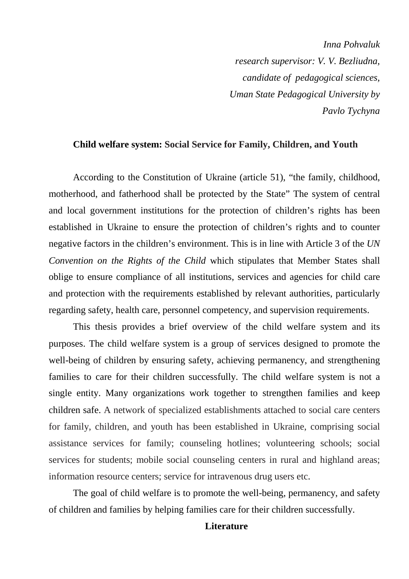*Inna Pohvaluk research supervisor: V. V. Bezliudna, candidate of pedagogical sciences, Uman State Pedagogical University by Pavlo Tychyna* 

## **Child welfare system: Social Service for Family, Children, and Youth**

According to the Constitution of Ukraine (article 51), "the family, childhood, motherhood, and fatherhood shall be protected by the State" The system of central and local government institutions for the protection of children's rights has been established in Ukraine to ensure the protection of children's rights and to counter negative factors in the children's environment. This is in line with Article 3 of the *UN Convention on the Rights of the Child* which stipulates that Member States shall oblige to ensure compliance of all institutions, services and agencies for child care and protection with the requirements established by relevant authorities, particularly regarding safety, health care, personnel competency, and supervision requirements.

This thesis provides a brief overview of the child welfare system and its purposes. The child welfare system is a group of services designed to promote the well-being of children by ensuring safety, achieving permanency, and strengthening families to care for their children successfully. The child welfare system is not a single entity. Many organizations work together to strengthen families and keep children safe. A network of specialized establishments attached to social care centers for family, children, and youth has been established in Ukraine, comprising social assistance services for family; counseling hotlines; volunteering schools; social services for students; mobile social counseling centers in rural and highland areas; information resource centers; service for intravenous drug users etc.

The goal of child welfare is to promote the well-being, permanency, and safety of children and families by helping families care for their children successfully.

## **Literature**